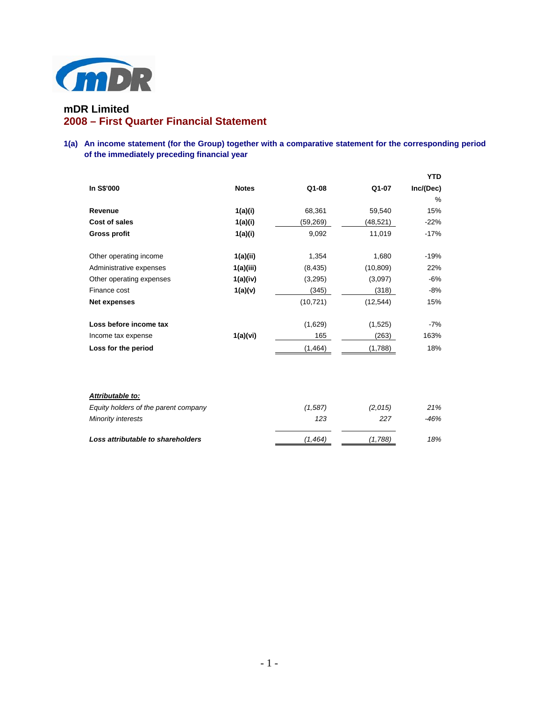

# **mDR Limited 2008 – First Quarter Financial Statement**

# **1(a) An income statement (for the Group) together with a comparative statement for the corresponding period of the immediately preceding financial year**

|                                      |              |           |           | <b>YTD</b> |
|--------------------------------------|--------------|-----------|-----------|------------|
| In S\$'000                           | <b>Notes</b> | $Q1-08$   | Q1-07     | Inc/(Dec)  |
|                                      |              |           |           | %          |
| Revenue                              | 1(a)(i)      | 68,361    | 59,540    | 15%        |
| Cost of sales                        | 1(a)(i)      | (59, 269) | (48,521)  | $-22%$     |
| <b>Gross profit</b>                  | 1(a)(i)      | 9,092     | 11,019    | $-17%$     |
| Other operating income               | 1(a)(ii)     | 1,354     | 1,680     | $-19%$     |
| Administrative expenses              | 1(a)(iii)    | (8, 435)  | (10, 809) | 22%        |
| Other operating expenses             | 1(a)(iv)     | (3,295)   | (3,097)   | $-6%$      |
| Finance cost                         | 1(a)(v)      | (345)     | (318)     | $-8%$      |
| <b>Net expenses</b>                  |              | (10, 721) | (12, 544) | 15%        |
| Loss before income tax               |              | (1,629)   | (1,525)   | -7%        |
| Income tax expense                   | 1(a)(vi)     | 165       | (263)     | 163%       |
| Loss for the period                  |              | (1, 464)  | (1,788)   | 18%        |
|                                      |              |           |           |            |
| Attributable to:                     |              |           |           |            |
| Equity holders of the parent company |              | (1, 587)  | (2,015)   | 21%        |
| Minority interests                   |              | 123       | 227       | $-46%$     |

*Loss attributable to shareholders (1,464) (1,788) 18%*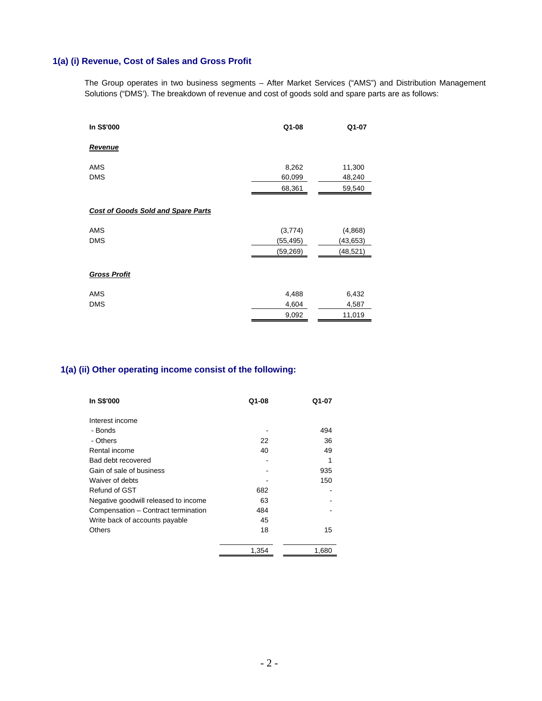# **1(a) (i) Revenue, Cost of Sales and Gross Profit**

The Group operates in two business segments – After Market Services ("AMS") and Distribution Management Solutions ("DMS'). The breakdown of revenue and cost of goods sold and spare parts are as follows:

| In S\$'000                                | Q1-08     | Q1-07     |
|-------------------------------------------|-----------|-----------|
| Revenue                                   |           |           |
| <b>AMS</b>                                | 8,262     | 11,300    |
| <b>DMS</b>                                | 60,099    | 48,240    |
|                                           | 68,361    | 59,540    |
|                                           |           |           |
| <b>Cost of Goods Sold and Spare Parts</b> |           |           |
| <b>AMS</b>                                | (3,774)   | (4,868)   |
| <b>DMS</b>                                | (55,495)  | (43,653)  |
|                                           | (59, 269) | (48, 521) |
|                                           |           |           |
| <b>Gross Profit</b>                       |           |           |
| <b>AMS</b>                                | 4,488     | 6,432     |
| <b>DMS</b>                                | 4,604     | 4,587     |
|                                           | 9,092     | 11,019    |

# **1(a) (ii) Other operating income consist of the following:**

| In S\$'000                           | Q1-08 | Q1-07 |
|--------------------------------------|-------|-------|
| Interest income                      |       |       |
| - Bonds                              |       | 494   |
| - Others                             | 22    | 36    |
| Rental income                        | 40    | 49    |
| Bad debt recovered                   |       | 1     |
| Gain of sale of business             |       | 935   |
| Waiver of debts                      |       | 150   |
| Refund of GST                        | 682   |       |
| Negative goodwill released to income | 63    |       |
| Compensation - Contract termination  | 484   |       |
| Write back of accounts payable       | 45    |       |
| Others                               | 18    | 15    |
|                                      | 1,354 | 1,680 |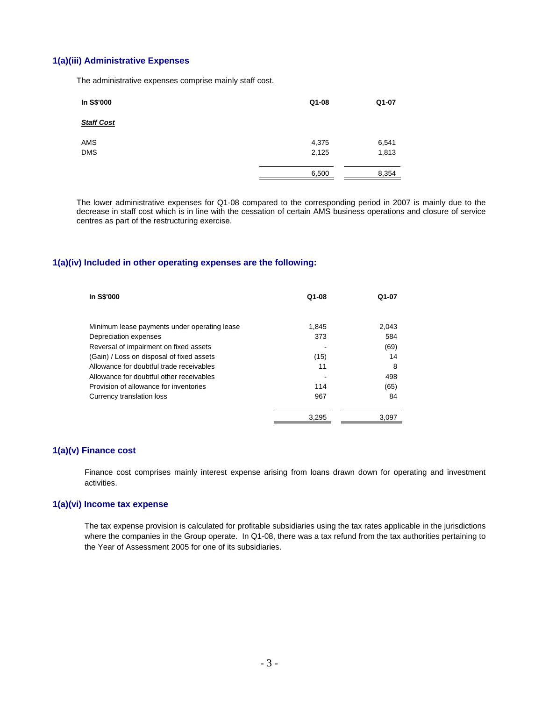### **1(a)(iii) Administrative Expenses**

The administrative expenses comprise mainly staff cost.

| In S\$'000        | Q1-08          | Q1-07          |
|-------------------|----------------|----------------|
| <b>Staff Cost</b> |                |                |
| AMS<br><b>DMS</b> | 4,375<br>2,125 | 6,541<br>1,813 |
|                   | 6,500          | 8,354          |

 The lower administrative expenses for Q1-08 compared to the corresponding period in 2007 is mainly due to the decrease in staff cost which is in line with the cessation of certain AMS business operations and closure of service centres as part of the restructuring exercise.

# **1(a)(iv) Included in other operating expenses are the following:**

| In S\$'000                                   | $Q1-08$ | Q1-07 |
|----------------------------------------------|---------|-------|
|                                              |         |       |
| Minimum lease payments under operating lease | 1.845   | 2.043 |
| Depreciation expenses                        | 373     | 584   |
| Reversal of impairment on fixed assets       |         | (69)  |
| (Gain) / Loss on disposal of fixed assets    | (15)    | 14    |
| Allowance for doubtful trade receivables     | 11      | 8     |
| Allowance for doubtful other receivables     |         | 498   |
| Provision of allowance for inventories       | 114     | (65)  |
| Currency translation loss                    | 967     | 84    |
|                                              | 3,295   | 3,097 |

#### **1(a)(v) Finance cost**

Finance cost comprises mainly interest expense arising from loans drawn down for operating and investment activities.

# **1(a)(vi) Income tax expense**

The tax expense provision is calculated for profitable subsidiaries using the tax rates applicable in the jurisdictions where the companies in the Group operate. In Q1-08, there was a tax refund from the tax authorities pertaining to the Year of Assessment 2005 for one of its subsidiaries.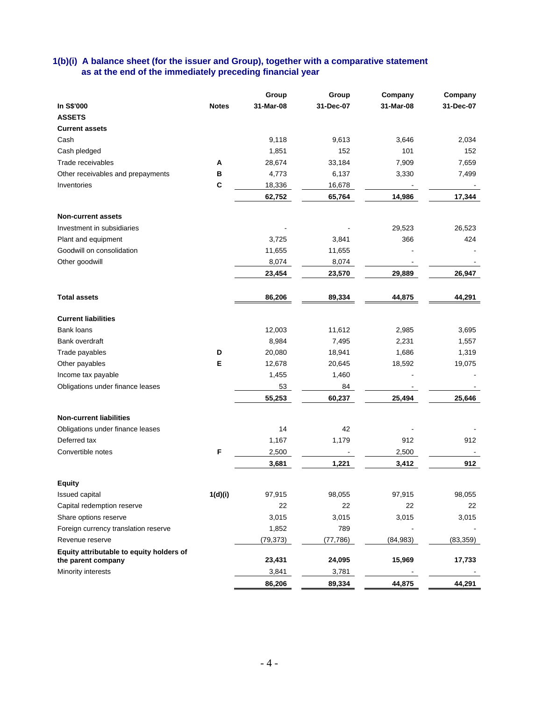# **1(b)(i) A balance sheet (for the issuer and Group), together with a comparative statement as at the end of the immediately preceding financial year**

|                                          |              | Group     | Group     | Company   | Company   |
|------------------------------------------|--------------|-----------|-----------|-----------|-----------|
| In S\$'000                               | <b>Notes</b> | 31-Mar-08 | 31-Dec-07 | 31-Mar-08 | 31-Dec-07 |
| <b>ASSETS</b>                            |              |           |           |           |           |
| <b>Current assets</b>                    |              |           |           |           |           |
| Cash                                     |              | 9,118     | 9,613     | 3,646     | 2,034     |
| Cash pledged                             |              | 1,851     | 152       | 101       | 152       |
| Trade receivables                        | Α            | 28,674    | 33,184    | 7,909     | 7,659     |
| Other receivables and prepayments        | в            | 4,773     | 6,137     | 3,330     | 7,499     |
| Inventories                              | C            | 18,336    | 16,678    |           |           |
|                                          |              | 62,752    | 65,764    | 14,986    | 17,344    |
|                                          |              |           |           |           |           |
| <b>Non-current assets</b>                |              |           |           |           |           |
| Investment in subsidiaries               |              |           |           | 29,523    | 26,523    |
| Plant and equipment                      |              | 3,725     | 3,841     | 366       | 424       |
| Goodwill on consolidation                |              | 11,655    | 11,655    |           |           |
| Other goodwill                           |              | 8,074     | 8,074     |           |           |
|                                          |              | 23,454    | 23,570    | 29,889    | 26,947    |
|                                          |              |           |           |           |           |
| <b>Total assets</b>                      |              | 86,206    | 89,334    | 44,875    | 44,291    |
| <b>Current liabilities</b>               |              |           |           |           |           |
| <b>Bank loans</b>                        |              | 12,003    | 11,612    | 2,985     | 3,695     |
| Bank overdraft                           |              | 8,984     | 7,495     | 2,231     | 1,557     |
| Trade payables                           | D            | 20,080    | 18,941    | 1,686     | 1,319     |
|                                          | Е            |           |           |           |           |
| Other payables                           |              | 12,678    | 20,645    | 18,592    | 19,075    |
| Income tax payable                       |              | 1,455     | 1,460     |           |           |
| Obligations under finance leases         |              | 53        | 84        |           |           |
|                                          |              | 55,253    | 60,237    | 25,494    | 25,646    |
| <b>Non-current liabilities</b>           |              |           |           |           |           |
| Obligations under finance leases         |              | 14        | 42        |           |           |
| Deferred tax                             |              | 1,167     | 1,179     | 912       | 912       |
| Convertible notes                        | F            | 2,500     |           | 2,500     |           |
|                                          |              | 3,681     | 1,221     | 3,412     | 912       |
|                                          |              |           |           |           |           |
| <b>Equity</b>                            |              |           |           |           |           |
| Issued capital                           | 1(d)(i)      | 97,915    | 98,055    | 97,915    | 98,055    |
| Capital redemption reserve               |              | 22        | 22        | 22        | 22        |
| Share options reserve                    |              | 3,015     | 3,015     | 3,015     | 3,015     |
| Foreign currency translation reserve     |              | 1,852     | 789       |           |           |
| Revenue reserve                          |              | (79, 373) | (77, 786) | (84, 983) | (83, 359) |
| Equity attributable to equity holders of |              |           |           |           |           |
| the parent company                       |              | 23,431    | 24,095    | 15,969    | 17,733    |
| Minority interests                       |              | 3,841     | 3,781     |           |           |
|                                          |              | 86,206    | 89,334    | 44,875    | 44,291    |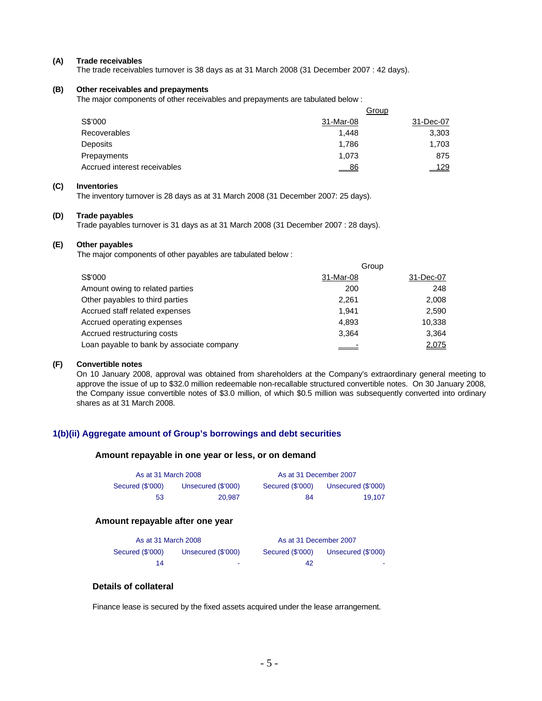#### **(A) Trade receivables**

The trade receivables turnover is 38 days as at 31 March 2008 (31 December 2007 : 42 days).

#### **(B) Other receivables and prepayments**

The major components of other receivables and prepayments are tabulated below :

|                              | Group     |             |  |
|------------------------------|-----------|-------------|--|
| S\$'000                      | 31-Mar-08 | 31-Dec-07   |  |
| <b>Recoverables</b>          | 1.448     | 3,303       |  |
| Deposits                     | 1.786     | 1,703       |  |
| Prepayments                  | 1.073     | 875         |  |
| Accrued interest receivables | - 86      | <u> 129</u> |  |

#### **(C) Inventories**

The inventory turnover is 28 days as at 31 March 2008 (31 December 2007: 25 days).

#### **(D) Trade payables**

Trade payables turnover is 31 days as at 31 March 2008 (31 December 2007 : 28 days).

#### **(E) Other payables**

The major components of other payables are tabulated below :

|                                           |           | Group     |
|-------------------------------------------|-----------|-----------|
| S\$'000                                   | 31-Mar-08 | 31-Dec-07 |
| Amount owing to related parties           | 200       | 248       |
| Other payables to third parties           | 2.261     | 2,008     |
| Accrued staff related expenses            | 1.941     | 2,590     |
| Accrued operating expenses                | 4.893     | 10,338    |
| Accrued restructuring costs               | 3.364     | 3.364     |
| Loan payable to bank by associate company |           | 2,075     |

### **(F) Convertible notes**

On 10 January 2008, approval was obtained from shareholders at the Company's extraordinary general meeting to approve the issue of up to \$32.0 million redeemable non-recallable structured convertible notes. On 30 January 2008, the Company issue convertible notes of \$3.0 million, of which \$0.5 million was subsequently converted into ordinary shares as at 31 March 2008.

### **1(b)(ii) Aggregate amount of Group's borrowings and debt securities**

#### **Amount repayable in one year or less, or on demand**

|                  | As at 31 March 2008 |                  | As at 31 December 2007 |
|------------------|---------------------|------------------|------------------------|
| Secured (\$'000) | Unsecured (\$'000)  | Secured (\$'000) | Unsecured (\$'000)     |
| 53               | 20.987              | 84               | 19.107                 |

#### **Amount repayable after one year**

| As at 31 March 2008 |                    | As at 31 December 2007 |                    |
|---------------------|--------------------|------------------------|--------------------|
| Secured (\$'000)    | Unsecured (\$'000) | Secured (\$'000)       | Unsecured (\$'000) |
| 14                  | ٠                  | 42                     | . .                |

### **Details of collateral**

Finance lease is secured by the fixed assets acquired under the lease arrangement.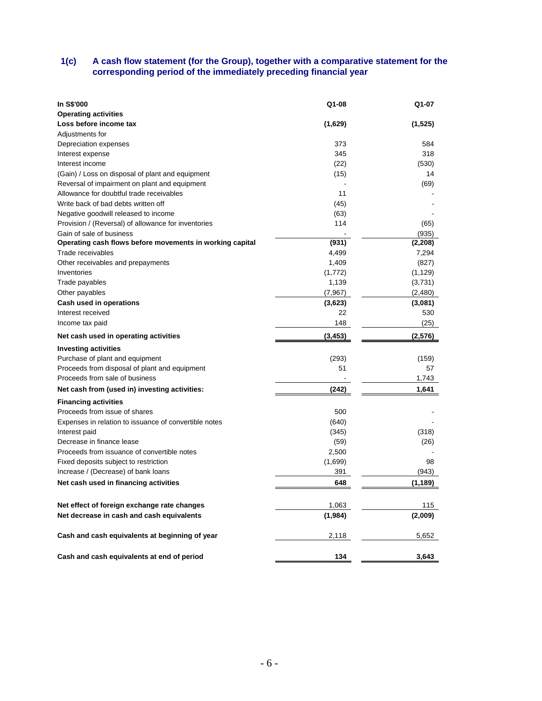### **1(c) A cash flow statement (for the Group), together with a comparative statement for the corresponding period of the immediately preceding financial year**

| In S\$'000                                               | Q1-08    | Q1-07    |
|----------------------------------------------------------|----------|----------|
| <b>Operating activities</b>                              |          |          |
| Loss before income tax                                   | (1,629)  | (1, 525) |
| Adjustments for                                          |          |          |
| Depreciation expenses                                    | 373      | 584      |
| Interest expense                                         | 345      | 318      |
| Interest income                                          | (22)     | (530)    |
| (Gain) / Loss on disposal of plant and equipment         | (15)     | 14       |
| Reversal of impairment on plant and equipment            |          | (69)     |
| Allowance for doubtful trade receivables                 | 11       |          |
| Write back of bad debts written off                      | (45)     |          |
| Negative goodwill released to income                     | (63)     |          |
| Provision / (Reversal) of allowance for inventories      | 114      | (65)     |
| Gain of sale of business                                 |          | (935)    |
| Operating cash flows before movements in working capital | (931)    | (2, 208) |
| Trade receivables                                        | 4,499    | 7,294    |
| Other receivables and prepayments                        | 1,409    | (827)    |
| Inventories                                              | (1,772)  | (1, 129) |
| Trade payables                                           | 1,139    | (3,731)  |
| Other payables                                           | (7,967)  | (2,480)  |
| Cash used in operations                                  | (3,623)  | (3,081)  |
| Interest received                                        | 22       | 530      |
| Income tax paid                                          | 148      | (25)     |
| Net cash used in operating activities                    | (3, 453) | (2,576)  |
| <b>Investing activities</b>                              |          |          |
| Purchase of plant and equipment                          | (293)    | (159)    |
| Proceeds from disposal of plant and equipment            | 51       | 57       |
| Proceeds from sale of business                           |          | 1,743    |
| Net cash from (used in) investing activities:            | (242)    | 1,641    |
| <b>Financing activities</b>                              |          |          |
| Proceeds from issue of shares                            | 500      |          |
| Expenses in relation to issuance of convertible notes    | (640)    |          |
| Interest paid                                            | (345)    | (318)    |
| Decrease in finance lease                                | (59)     | (26)     |
| Proceeds from issuance of convertible notes              | 2,500    |          |
| Fixed deposits subject to restriction                    | (1,699)  | 98       |
| Increase / (Decrease) of bank loans                      | 391      | (943)    |
| Net cash used in financing activities                    | 648      | (1, 189) |
|                                                          |          |          |
| Net effect of foreign exchange rate changes              | 1,063    | 115      |
| Net decrease in cash and cash equivalents                | (1,984)  | (2,009)  |
| Cash and cash equivalents at beginning of year           | 2,118    | 5,652    |
| Cash and cash equivalents at end of period               | 134      | 3,643    |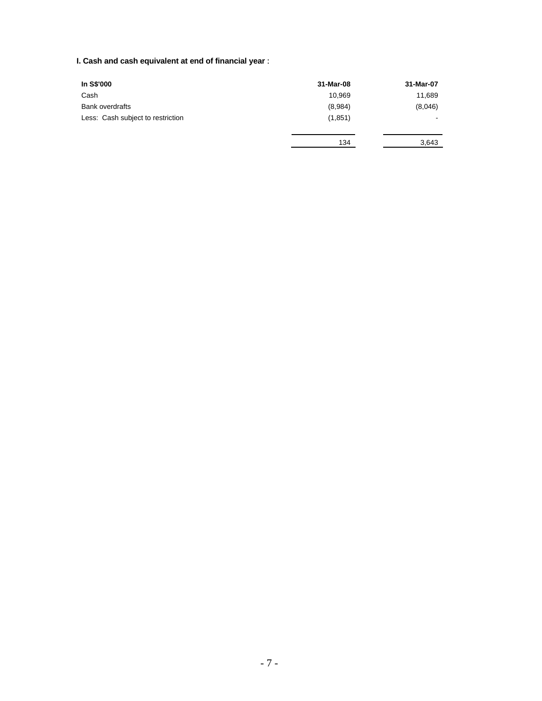# **I. Cash and cash equivalent at end of financial year** :

| In S\$'000                        | 31-Mar-08 | 31-Mar-07      |
|-----------------------------------|-----------|----------------|
| Cash                              | 10.969    | 11,689         |
| <b>Bank overdrafts</b>            | (8,984)   | (8,046)        |
| Less: Cash subject to restriction | (1,851)   | $\blacksquare$ |
|                                   | 134       | 3,643          |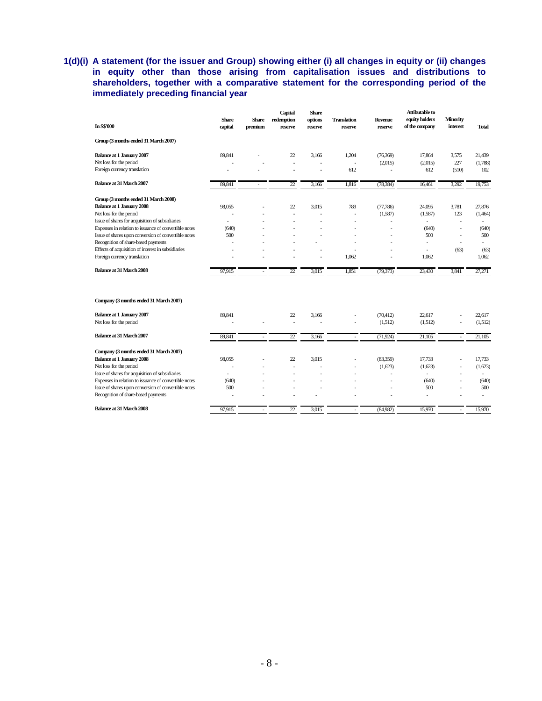# **1(d)(i) A statement (for the issuer and Group) showing either (i) all changes in equity or (ii) changes in equity other than those arising from capitalisation issues and distributions to**  shareholders, together with a comparative statement for the corresponding period of the **immediately preceding financial year**

| <b>In S\$'000</b>                                     | <b>Share</b><br>capital | <b>Share</b><br>premium  | Capital<br>redemption<br>reserve | <b>Share</b><br>options<br>reserve | <b>Translation</b><br>reserve | <b>Revenue</b><br>reserve | <b>Attibutable to</b><br>equity holders<br>of the company | <b>Minority</b><br>interest | <b>Total</b> |
|-------------------------------------------------------|-------------------------|--------------------------|----------------------------------|------------------------------------|-------------------------------|---------------------------|-----------------------------------------------------------|-----------------------------|--------------|
| Group (3 months ended 31 March 2007)                  |                         |                          |                                  |                                    |                               |                           |                                                           |                             |              |
| <b>Balance at 1 January 2007</b>                      | 89,841                  |                          | 22                               | 3,166                              | 1,204                         | (76, 369)                 | 17,864                                                    | 3,575                       | 21,439       |
| Net loss for the period                               |                         |                          |                                  |                                    | ÷                             | (2,015)                   | (2,015)                                                   | 227                         | (1,788)      |
| Foreign currency translation                          |                         |                          | ÷,                               |                                    | 612                           |                           | 612                                                       | (510)                       | 102          |
| Balance at 31 March 2007                              | 89,841                  |                          | 22                               | 3,166                              | 1,816                         | (78, 384)                 | 16,461                                                    | 3,292                       | 19,753       |
| Group (3 months ended 31 March 2008)                  |                         |                          |                                  |                                    |                               |                           |                                                           |                             |              |
| <b>Balance at 1 January 2008</b>                      | 98,055                  |                          | 22                               | 3.015                              | 789                           | (77,786)                  | 24,095                                                    | 3,781                       | 27,876       |
| Net loss for the period                               | J.                      |                          | J.                               |                                    | ÷,                            | (1,587)                   | (1,587)                                                   | 123                         | (1,464)      |
| Issue of shares for acquisition of subsidiaries       | $\overline{a}$          |                          |                                  |                                    | J.                            | $\overline{a}$            | ÷.                                                        | ÷                           |              |
| Expenses in relation to issuance of convertible notes | (640)                   |                          |                                  |                                    |                               |                           | (640)                                                     | ٠                           | (640)        |
| Issue of shares upon conversion of convertible notes  | 500                     |                          |                                  |                                    |                               | ٠                         | 500                                                       | ٠                           | 500          |
| Recognition of share-based payments                   |                         |                          |                                  |                                    | ٠                             |                           | $\overline{a}$                                            | ÷                           | ÷,           |
| Effects of acquisition of interest in subsidiaries    |                         |                          |                                  |                                    |                               |                           | L,                                                        | (63)                        | (63)         |
| Foreign currency translation                          |                         |                          |                                  |                                    | 1,062                         |                           | 1,062                                                     |                             | 1,062        |
| Balance at 31 March 2008                              | 97,915                  |                          | $\overline{22}$                  | 3,015                              | 1,851                         | (79, 373)                 | 23,430                                                    | 3,841                       | 27,271       |
| Company (3 months ended 31 March 2007)                |                         |                          |                                  |                                    |                               |                           |                                                           |                             |              |
| <b>Balance at 1 January 2007</b>                      | 89,841                  |                          | 22                               | 3,166                              |                               | (70, 412)                 | 22,617                                                    |                             | 22,617       |
| Net loss for the period                               |                         |                          | Ĭ.                               |                                    | J.                            | (1,512)                   | (1,512)                                                   | L,                          | (1,512)      |
| Balance at 31 March 2007                              | 89,841                  | $\overline{\phantom{a}}$ | $\overline{22}$                  | 3,166                              | $\overline{\phantom{a}}$      | (71, 924)                 | $\overline{21,105}$                                       | ÷                           | 21,105       |
| Company (3 months ended 31 March 2007)                |                         |                          |                                  |                                    |                               |                           |                                                           |                             |              |
| <b>Balance at 1 January 2008</b>                      | 98,055                  |                          | 22                               | 3.015                              |                               | (83,359)                  | 17,733                                                    | ÷                           | 17,733       |
| Net loss for the period                               | ÷                       |                          | Ĭ.                               |                                    | ÷                             | (1,623)                   | (1,623)                                                   | $\overline{\phantom{a}}$    | (1,623)      |
| Issue of shares for acquisition of subsidiaries       |                         |                          |                                  |                                    | ٠                             | ٠                         | ÷                                                         | $\overline{\phantom{a}}$    | $\sim$       |
| Expenses in relation to issuance of convertible notes | (640)                   |                          |                                  |                                    |                               |                           | (640)                                                     |                             | (640)        |
| Issue of shares upon conversion of convertible notes  | 500                     |                          |                                  |                                    |                               |                           | 500                                                       | L.                          | 500          |
| Recognition of share-based payments                   |                         |                          |                                  |                                    |                               |                           | L.                                                        |                             | ÷.           |
| Balance at 31 March 2008                              | 97.915                  | ٠                        | 22                               | 3.015                              | ÷                             | (84,982)                  | 15.970                                                    |                             | 15,970       |
|                                                       |                         |                          |                                  |                                    |                               |                           |                                                           |                             |              |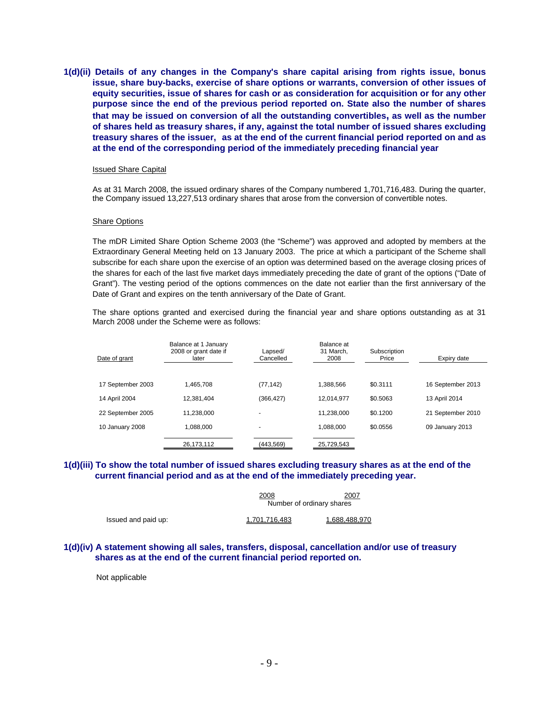**1(d)(ii) Details of any changes in the Company's share capital arising from rights issue, bonus issue, share buy-backs, exercise of share options or warrants, conversion of other issues of equity securities, issue of shares for cash or as consideration for acquisition or for any other purpose since the end of the previous period reported on. State also the number of shares that may be issued on conversion of all the outstanding convertibles, as well as the number of shares held as treasury shares, if any, against the total number of issued shares excluding treasury shares of the issuer, as at the end of the current financial period reported on and as at the end of the corresponding period of the immediately preceding financial year** 

#### Issued Share Capital

As at 31 March 2008, the issued ordinary shares of the Company numbered 1,701,716,483. During the quarter, the Company issued 13,227,513 ordinary shares that arose from the conversion of convertible notes.

#### Share Options

The mDR Limited Share Option Scheme 2003 (the "Scheme") was approved and adopted by members at the Extraordinary General Meeting held on 13 January 2003. The price at which a participant of the Scheme shall subscribe for each share upon the exercise of an option was determined based on the average closing prices of the shares for each of the last five market days immediately preceding the date of grant of the options ("Date of Grant"). The vesting period of the options commences on the date not earlier than the first anniversary of the Date of Grant and expires on the tenth anniversary of the Date of Grant.

The share options granted and exercised during the financial year and share options outstanding as at 31 March 2008 under the Scheme were as follows:

| Date of grant     | Balance at 1 January<br>2008 or grant date if<br>later | Lapsed/<br>Cancelled     | Balance at<br>31 March.<br>2008 | Subscription<br>Price | Expiry date       |
|-------------------|--------------------------------------------------------|--------------------------|---------------------------------|-----------------------|-------------------|
| 17 September 2003 | 1.465.708                                              | (77, 142)                | 1.388.566                       | \$0.3111              | 16 September 2013 |
| 14 April 2004     | 12.381.404                                             | (366, 427)               | 12.014.977                      | \$0.5063              | 13 April 2014     |
| 22 September 2005 | 11.238.000                                             | -                        | 11.238.000                      | \$0.1200              | 21 September 2010 |
| 10 January 2008   | 1.088.000                                              | $\overline{\phantom{0}}$ | 1.088.000                       | \$0.0556              | 09 January 2013   |
|                   | 26,173,112                                             | (443,569)                | 25,729,543                      |                       |                   |

### **1(d)(iii) To show the total number of issued shares excluding treasury shares as at the end of the current financial period and as at the end of the immediately preceding year.**

|                     | <u> 2008</u><br>Number of ordinary shares | 2007          |
|---------------------|-------------------------------------------|---------------|
| Issued and paid up: | 1.701.716.483                             | 1.688.488.970 |

### **1(d)(iv) A statement showing all sales, transfers, disposal, cancellation and/or use of treasury shares as at the end of the current financial period reported on.**

Not applicable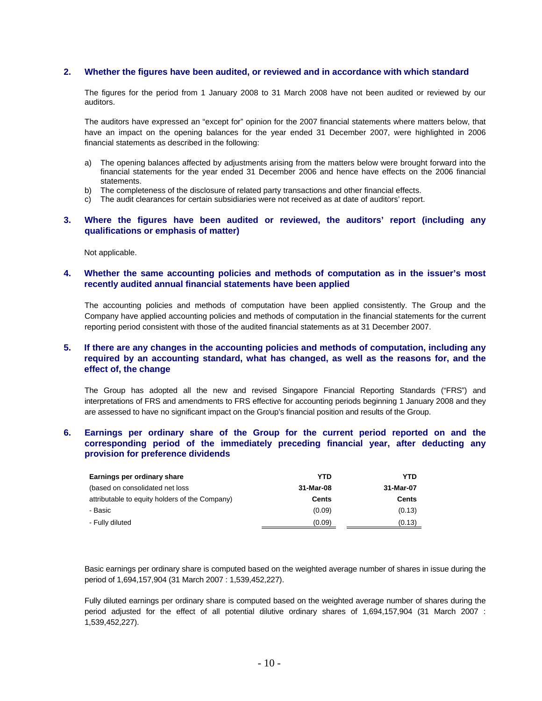### **2. Whether the figures have been audited, or reviewed and in accordance with which standard**

The figures for the period from 1 January 2008 to 31 March 2008 have not been audited or reviewed by our auditors.

The auditors have expressed an "except for" opinion for the 2007 financial statements where matters below, that have an impact on the opening balances for the year ended 31 December 2007, were highlighted in 2006 financial statements as described in the following:

- a) The opening balances affected by adjustments arising from the matters below were brought forward into the financial statements for the year ended 31 December 2006 and hence have effects on the 2006 financial statements.
- b) The completeness of the disclosure of related party transactions and other financial effects.
- c) The audit clearances for certain subsidiaries were not received as at date of auditors' report.

### **3. Where the figures have been audited or reviewed, the auditors' report (including any qualifications or emphasis of matter)**

Not applicable.

### **4. Whether the same accounting policies and methods of computation as in the issuer's most recently audited annual financial statements have been applied**

The accounting policies and methods of computation have been applied consistently. The Group and the Company have applied accounting policies and methods of computation in the financial statements for the current reporting period consistent with those of the audited financial statements as at 31 December 2007.

### **5. If there are any changes in the accounting policies and methods of computation, including any required by an accounting standard, what has changed, as well as the reasons for, and the effect of, the change**

The Group has adopted all the new and revised Singapore Financial Reporting Standards ("FRS") and interpretations of FRS and amendments to FRS effective for accounting periods beginning 1 January 2008 and they are assessed to have no significant impact on the Group's financial position and results of the Group.

### **6. Earnings per ordinary share of the Group for the current period reported on and the corresponding period of the immediately preceding financial year, after deducting any provision for preference dividends**

| Earnings per ordinary share                    | YTD       | YTD          |
|------------------------------------------------|-----------|--------------|
| (based on consolidated net loss)               | 31-Mar-08 | 31-Mar-07    |
| attributable to equity holders of the Company) | Cents     | <b>Cents</b> |
| - Basic                                        | (0.09)    | (0.13)       |
| - Fully diluted                                | (0.09)    | (0.13)       |

Basic earnings per ordinary share is computed based on the weighted average number of shares in issue during the period of 1,694,157,904 (31 March 2007 : 1,539,452,227).

Fully diluted earnings per ordinary share is computed based on the weighted average number of shares during the period adjusted for the effect of all potential dilutive ordinary shares of 1,694,157,904 (31 March 2007 : 1,539,452,227).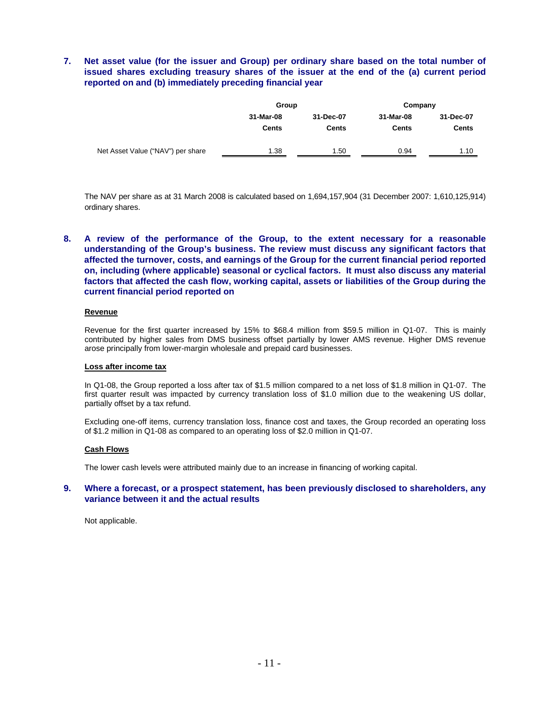# **7. Net asset value (for the issuer and Group) per ordinary share based on the total number of issued shares excluding treasury shares of the issuer at the end of the (a) current period reported on and (b) immediately preceding financial year**

|                                   | Group        |              | Company   |           |  |
|-----------------------------------|--------------|--------------|-----------|-----------|--|
|                                   | 31-Mar-08    | 31-Dec-07    | 31-Mar-08 | 31-Dec-07 |  |
|                                   | <b>Cents</b> | <b>Cents</b> | Cents     | Cents     |  |
| Net Asset Value ("NAV") per share | 1.38         | 1.50         | 0.94      | 1.10      |  |

The NAV per share as at 31 March 2008 is calculated based on 1,694,157,904 (31 December 2007: 1,610,125,914) ordinary shares.

# **8. A review of the performance of the Group, to the extent necessary for a reasonable understanding of the Group's business. The review must discuss any significant factors that affected the turnover, costs, and earnings of the Group for the current financial period reported on, including (where applicable) seasonal or cyclical factors. It must also discuss any material factors that affected the cash flow, working capital, assets or liabilities of the Group during the current financial period reported on**

### **Revenue**

Revenue for the first quarter increased by 15% to \$68.4 million from \$59.5 million in Q1-07. This is mainly contributed by higher sales from DMS business offset partially by lower AMS revenue. Higher DMS revenue arose principally from lower-margin wholesale and prepaid card businesses.

#### **Loss after income tax**

In Q1-08, the Group reported a loss after tax of \$1.5 million compared to a net loss of \$1.8 million in Q1-07. The first quarter result was impacted by currency translation loss of \$1.0 million due to the weakening US dollar, partially offset by a tax refund.

Excluding one-off items, currency translation loss, finance cost and taxes, the Group recorded an operating loss of \$1.2 million in Q1-08 as compared to an operating loss of \$2.0 million in Q1-07.

### **Cash Flows**

The lower cash levels were attributed mainly due to an increase in financing of working capital.

### **9. Where a forecast, or a prospect statement, has been previously disclosed to shareholders, any variance between it and the actual results**

Not applicable.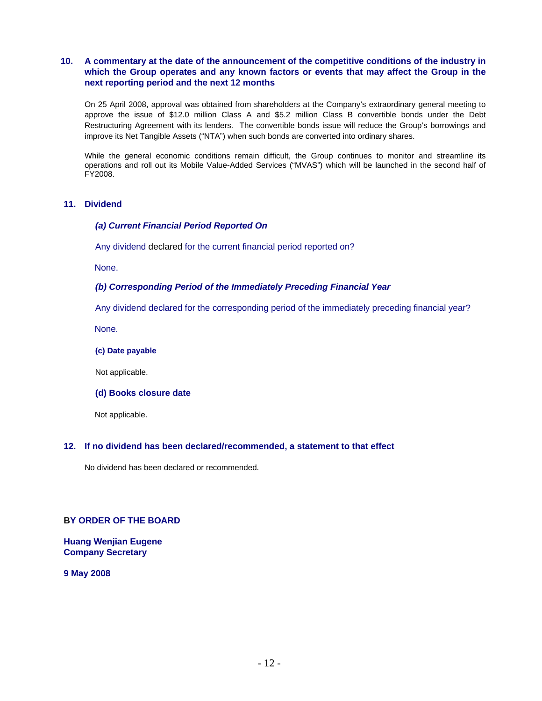# **10. A commentary at the date of the announcement of the competitive conditions of the industry in which the Group operates and any known factors or events that may affect the Group in the next reporting period and the next 12 months**

On 25 April 2008, approval was obtained from shareholders at the Company's extraordinary general meeting to approve the issue of \$12.0 million Class A and \$5.2 million Class B convertible bonds under the Debt Restructuring Agreement with its lenders. The convertible bonds issue will reduce the Group's borrowings and improve its Net Tangible Assets ("NTA") when such bonds are converted into ordinary shares.

While the general economic conditions remain difficult, the Group continues to monitor and streamline its operations and roll out its Mobile Value-Added Services ("MVAS") which will be launched in the second half of FY2008.

# **11. Dividend**

# *(a) Current Financial Period Reported On*

Any dividend declared for the current financial period reported on?

None.

# *(b) Corresponding Period of the Immediately Preceding Financial Year*

Any dividend declared for the corresponding period of the immediately preceding financial year?

None.

**(c) Date payable** 

Not applicable.

**(d) Books closure date** 

Not applicable.

### **12. If no dividend has been declared/recommended, a statement to that effect**

No dividend has been declared or recommended.

# **BY ORDER OF THE BOARD**

**Huang Wenjian Eugene Company Secretary** 

**9 May 2008**